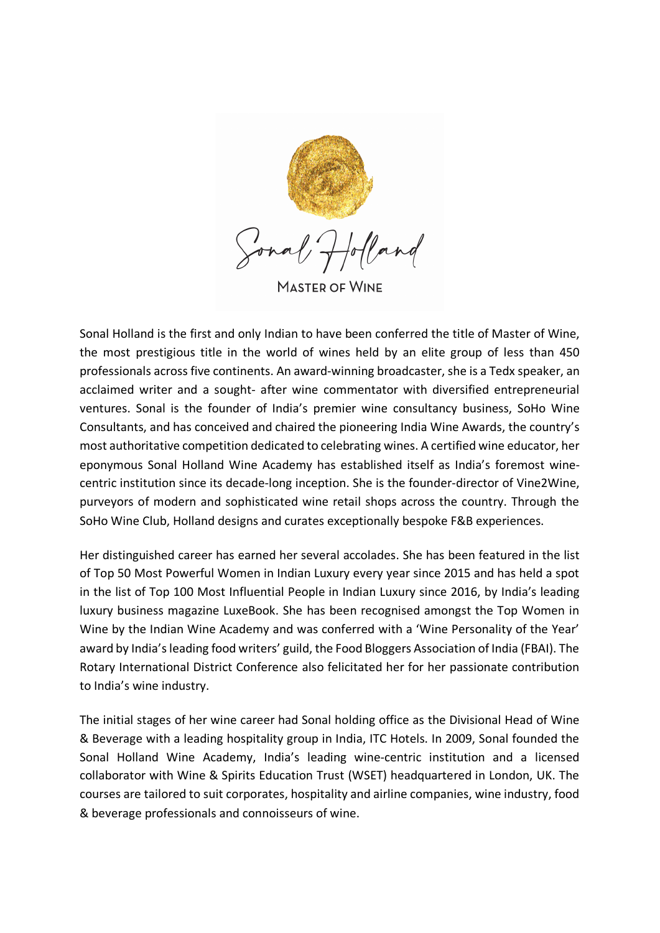

**MASTER OF WINE** 

Sonal Holland is the first and only Indian to have been conferred the title of Master of Wine, the most prestigious title in the world of wines held by an elite group of less than 450 professionals across five continents. An award-winning broadcaster, she is a Tedx speaker, an acclaimed writer and a sought- after wine commentator with diversified entrepreneurial ventures. Sonal is the founder of India's premier wine consultancy business, SoHo Wine Consultants, and has conceived and chaired the pioneering India Wine Awards, the country's most authoritative competition dedicated to celebrating wines. A certified wine educator, her eponymous Sonal Holland Wine Academy has established itself as India's foremost winecentric institution since its decade-long inception. She is the founder-director of Vine2Wine, purveyors of modern and sophisticated wine retail shops across the country. Through the SoHo Wine Club, Holland designs and curates exceptionally bespoke F&B experiences.

Her distinguished career has earned her several accolades. She has been featured in the list of Top 50 Most Powerful Women in Indian Luxury every year since 2015 and has held a spot in the list of Top 100 Most Influential People in Indian Luxury since 2016, by India's leading luxury business magazine LuxeBook. She has been recognised amongst the Top Women in Wine by the Indian Wine Academy and was conferred with a 'Wine Personality of the Year' award by India's leading food writers' guild, the Food Bloggers Association of India (FBAI). The Rotary International District Conference also felicitated her for her passionate contribution to India's wine industry.

The initial stages of her wine career had Sonal holding office as the Divisional Head of Wine & Beverage with a leading hospitality group in India, ITC Hotels. In 2009, Sonal founded the Sonal Holland Wine Academy, India's leading wine-centric institution and a licensed collaborator with Wine & Spirits Education Trust (WSET) headquartered in London, UK. The courses are tailored to suit corporates, hospitality and airline companies, wine industry, food & beverage professionals and connoisseurs of wine.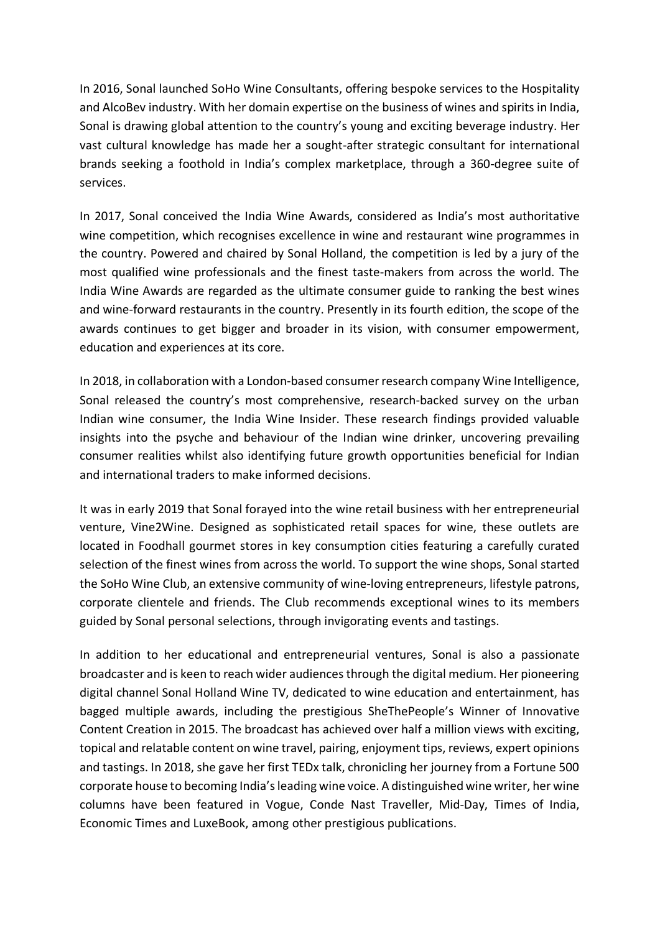In 2016, Sonal launched SoHo Wine Consultants, offering bespoke services to the Hospitality and AlcoBev industry. With her domain expertise on the business of wines and spirits in India, Sonal is drawing global attention to the country's young and exciting beverage industry. Her vast cultural knowledge has made her a sought-after strategic consultant for international brands seeking a foothold in India's complex marketplace, through a 360-degree suite of services.

In 2017, Sonal conceived the India Wine Awards, considered as India's most authoritative wine competition, which recognises excellence in wine and restaurant wine programmes in the country. Powered and chaired by Sonal Holland, the competition is led by a jury of the most qualified wine professionals and the finest taste-makers from across the world. The India Wine Awards are regarded as the ultimate consumer guide to ranking the best wines and wine-forward restaurants in the country. Presently in its fourth edition, the scope of the awards continues to get bigger and broader in its vision, with consumer empowerment, education and experiences at its core.

In 2018, in collaboration with a London-based consumer research company Wine Intelligence, Sonal released the country's most comprehensive, research-backed survey on the urban Indian wine consumer, the India Wine Insider. These research findings provided valuable insights into the psyche and behaviour of the Indian wine drinker, uncovering prevailing consumer realities whilst also identifying future growth opportunities beneficial for Indian and international traders to make informed decisions.

It was in early 2019 that Sonal forayed into the wine retail business with her entrepreneurial venture, Vine2Wine. Designed as sophisticated retail spaces for wine, these outlets are located in Foodhall gourmet stores in key consumption cities featuring a carefully curated selection of the finest wines from across the world. To support the wine shops, Sonal started the SoHo Wine Club, an extensive community of wine-loving entrepreneurs, lifestyle patrons, corporate clientele and friends. The Club recommends exceptional wines to its members guided by Sonal personal selections, through invigorating events and tastings.

In addition to her educational and entrepreneurial ventures, Sonal is also a passionate broadcaster and is keen to reach wider audiences through the digital medium. Her pioneering digital channel Sonal Holland Wine TV, dedicated to wine education and entertainment, has bagged multiple awards, including the prestigious SheThePeople's Winner of Innovative Content Creation in 2015. The broadcast has achieved over half a million views with exciting, topical and relatable content on wine travel, pairing, enjoyment tips, reviews, expert opinions and tastings. In 2018, she gave her first TEDx talk, chronicling her journey from a Fortune 500 corporate house to becoming India's leading wine voice. A distinguished wine writer, her wine columns have been featured in Vogue, Conde Nast Traveller, Mid-Day, Times of India, Economic Times and LuxeBook, among other prestigious publications.